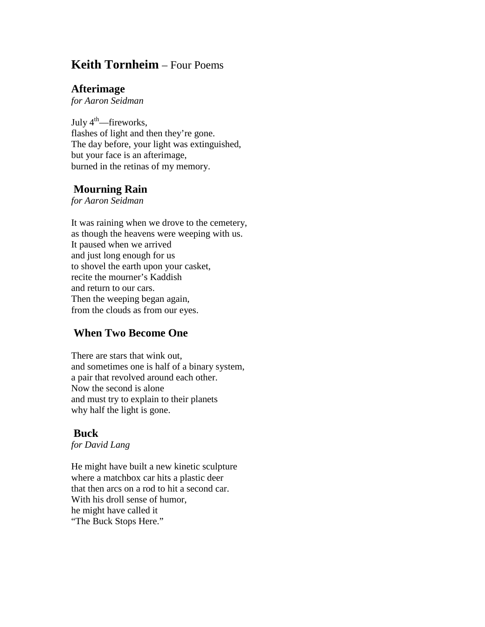# **Keith Tornheim** – Four Poems

#### **Afterimage**

*for Aaron Seidman*

July  $4^{\text{th}}$ —fireworks, flashes of light and then they're gone. The day before, your light was extinguished, but your face is an afterimage, burned in the retinas of my memory.

## **Mourning Rain**

*for Aaron Seidman*

It was raining when we drove to the cemetery, as though the heavens were weeping with us. It paused when we arrived and just long enough for us to shovel the earth upon your casket, recite the mourner's Kaddish and return to our cars. Then the weeping began again, from the clouds as from our eyes.

## **When Two Become One**

There are stars that wink out, and sometimes one is half of a binary system, a pair that revolved around each other. Now the second is alone and must try to explain to their planets why half the light is gone.

### **Buck**

*for David Lang*

He might have built a new kinetic sculpture where a matchbox car hits a plastic deer that then arcs on a rod to hit a second car. With his droll sense of humor, he might have called it "The Buck Stops Here."